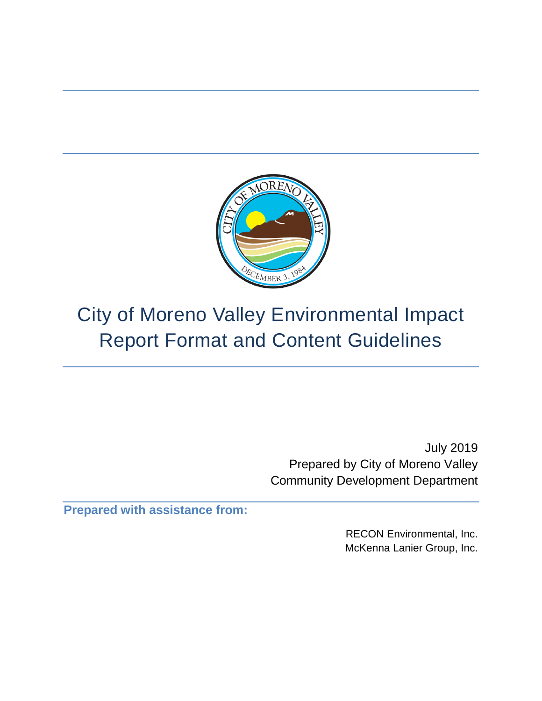

# City of Moreno Valley Environmental Impact Report Format and Content Guidelines

July 2019 Prepared by City of Moreno Valley Community Development Department

**Prepared with assistance from:** 

RECON Environmental, Inc. McKenna Lanier Group, Inc.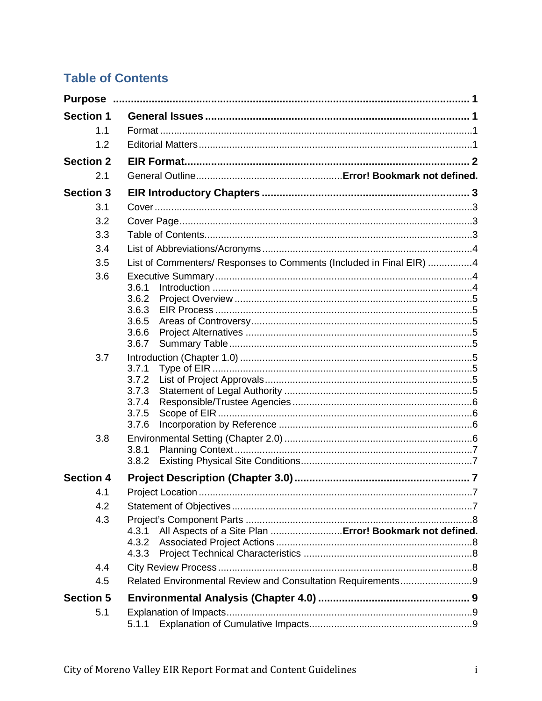# **Table of Contents**

| <b>Section 1</b> |                                                                     |  |
|------------------|---------------------------------------------------------------------|--|
| 1.1              |                                                                     |  |
| 1.2              |                                                                     |  |
| <b>Section 2</b> |                                                                     |  |
| 2.1              |                                                                     |  |
| <b>Section 3</b> |                                                                     |  |
| 3.1              |                                                                     |  |
| 3.2              |                                                                     |  |
| 3.3              |                                                                     |  |
| 3.4              |                                                                     |  |
| 3.5              | List of Commenters/ Responses to Comments (Included in Final EIR) 4 |  |
| 3.6              |                                                                     |  |
|                  | 3.6.1<br>3.6.2                                                      |  |
|                  | 3.6.3                                                               |  |
|                  | 3.6.5                                                               |  |
|                  | 3.6.6                                                               |  |
|                  | 3.6.7                                                               |  |
| 3.7              |                                                                     |  |
|                  | 3.7.1<br>3.7.2                                                      |  |
|                  | 3.7.3                                                               |  |
|                  | 3.7.4                                                               |  |
|                  | 3.7.5                                                               |  |
| 3.8              | 3.7.6                                                               |  |
|                  | 3.8.1                                                               |  |
|                  | 3.8.2                                                               |  |
| <b>Section 4</b> |                                                                     |  |
| 4.1              |                                                                     |  |
| 4.2              |                                                                     |  |
| 4.3              |                                                                     |  |
|                  | All Aspects of a Site Plan  Error! Bookmark not defined.<br>4.3.1   |  |
|                  | 4.3.2                                                               |  |
|                  | 4.3.3                                                               |  |
| 4.4<br>4.5       | Related Environmental Review and Consultation Requirements9         |  |
|                  |                                                                     |  |
| <b>Section 5</b> |                                                                     |  |
| 5.1              |                                                                     |  |
|                  | 5.1.1                                                               |  |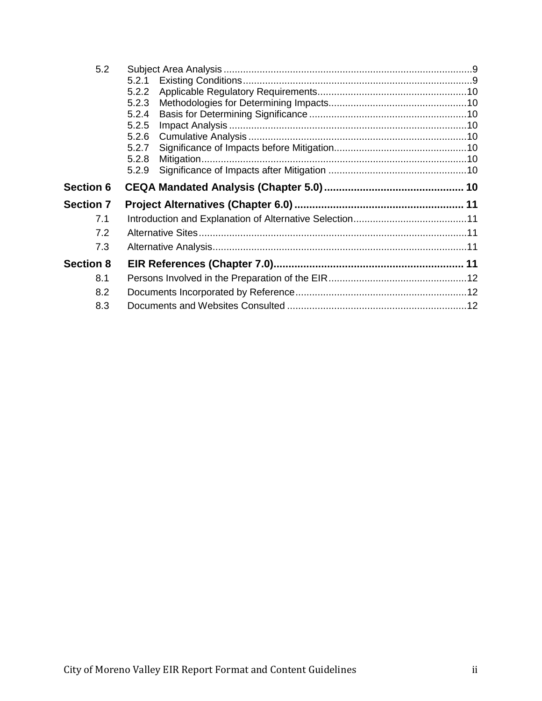| 5.2              |       |  |
|------------------|-------|--|
|                  | 5.2.1 |  |
|                  | 5.2.2 |  |
|                  | 5.2.3 |  |
|                  | 5.2.4 |  |
|                  | 5.2.5 |  |
|                  | 5.2.6 |  |
|                  | 5.2.7 |  |
|                  | 5.2.8 |  |
|                  | 5.2.9 |  |
| <b>Section 6</b> |       |  |
|                  |       |  |
| <b>Section 7</b> |       |  |
| 7.1              |       |  |
| 7.2              |       |  |
| 7.3              |       |  |
| <b>Section 8</b> |       |  |
| 8.1              |       |  |
| 8.2              |       |  |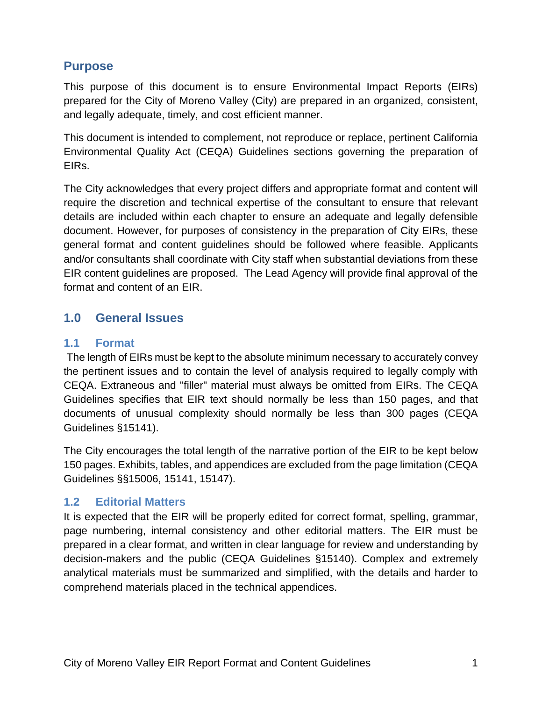# **Purpose**

This purpose of this document is to ensure Environmental Impact Reports (EIRs) prepared for the City of Moreno Valley (City) are prepared in an organized, consistent, and legally adequate, timely, and cost efficient manner.

This document is intended to complement, not reproduce or replace, pertinent California Environmental Quality Act (CEQA) Guidelines sections governing the preparation of EIRs.

The City acknowledges that every project differs and appropriate format and content will require the discretion and technical expertise of the consultant to ensure that relevant details are included within each chapter to ensure an adequate and legally defensible document. However, for purposes of consistency in the preparation of City EIRs, these general format and content guidelines should be followed where feasible. Applicants and/or consultants shall coordinate with City staff when substantial deviations from these EIR content guidelines are proposed. The Lead Agency will provide final approval of the format and content of an EIR.

# **1.0 General Issues**

## **1.1 Format**

The length of EIRs must be kept to the absolute minimum necessary to accurately convey the pertinent issues and to contain the level of analysis required to legally comply with CEQA. Extraneous and "filler" material must always be omitted from EIRs. The CEQA Guidelines specifies that EIR text should normally be less than 150 pages, and that documents of unusual complexity should normally be less than 300 pages (CEQA Guidelines §15141).

The City encourages the total length of the narrative portion of the EIR to be kept below 150 pages. Exhibits, tables, and appendices are excluded from the page limitation (CEQA Guidelines §§15006, 15141, 15147).

## **1.2 Editorial Matters**

It is expected that the EIR will be properly edited for correct format, spelling, grammar, page numbering, internal consistency and other editorial matters. The EIR must be prepared in a clear format, and written in clear language for review and understanding by decision-makers and the public (CEQA Guidelines §15140). Complex and extremely analytical materials must be summarized and simplified, with the details and harder to comprehend materials placed in the technical appendices.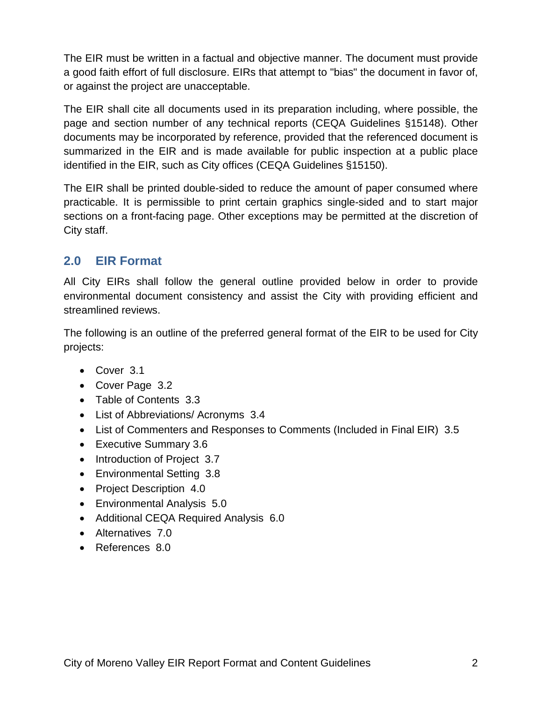The EIR must be written in a factual and objective manner. The document must provide a good faith effort of full disclosure. EIRs that attempt to "bias" the document in favor of, or against the project are unacceptable.

The EIR shall cite all documents used in its preparation including, where possible, the page and section number of any technical reports (CEQA Guidelines §15148). Other documents may be incorporated by reference, provided that the referenced document is summarized in the EIR and is made available for public inspection at a public place identified in the EIR, such as City offices (CEQA Guidelines §15150).

The EIR shall be printed double-sided to reduce the amount of paper consumed where practicable. It is permissible to print certain graphics single-sided and to start major sections on a front-facing page. Other exceptions may be permitted at the discretion of City staff.

# **2.0 EIR Format**

All City EIRs shall follow the general outline provided below in order to provide environmental document consistency and assist the City with providing efficient and streamlined reviews.

The following is an outline of the preferred general format of the EIR to be used for City projects:

- Cover 3.1
- Cover Page 3.2
- Table of Contents 3.3
- List of Abbreviations/ Acronyms 3.4
- List of Commenters and Responses to Comments (Included in Final EIR) 3.5
- Executive Summary 3.6
- Introduction of Project 3.7
- Environmental Setting 3.8
- Project Description 4.0
- Environmental Analysis 5.0
- Additional CEQA Required Analysis 6.0
- Alternatives 7.0
- References 8.0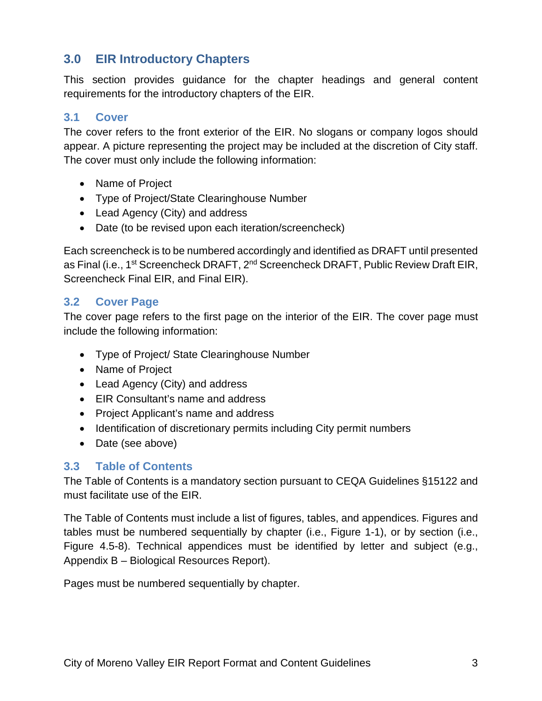# **3.0 EIR Introductory Chapters**

This section provides guidance for the chapter headings and general content requirements for the introductory chapters of the EIR.

## **3.1 Cover**

The cover refers to the front exterior of the EIR. No slogans or company logos should appear. A picture representing the project may be included at the discretion of City staff. The cover must only include the following information:

- Name of Project
- Type of Project/State Clearinghouse Number
- Lead Agency (City) and address
- Date (to be revised upon each iteration/screencheck)

Each screencheck is to be numbered accordingly and identified as DRAFT until presented as Final (i.e., 1<sup>st</sup> Screencheck DRAFT, 2<sup>nd</sup> Screencheck DRAFT, Public Review Draft EIR, Screencheck Final EIR, and Final EIR).

#### **3.2 Cover Page**

The cover page refers to the first page on the interior of the EIR. The cover page must include the following information:

- Type of Project/ State Clearinghouse Number
- Name of Project
- Lead Agency (City) and address
- EIR Consultant's name and address
- Project Applicant's name and address
- Identification of discretionary permits including City permit numbers
- Date (see above)

#### **3.3 Table of Contents**

The Table of Contents is a mandatory section pursuant to CEQA Guidelines §15122 and must facilitate use of the EIR.

The Table of Contents must include a list of figures, tables, and appendices. Figures and tables must be numbered sequentially by chapter (i.e., Figure 1-1), or by section (i.e., Figure 4.5-8). Technical appendices must be identified by letter and subject (e.g., Appendix B – Biological Resources Report).

Pages must be numbered sequentially by chapter.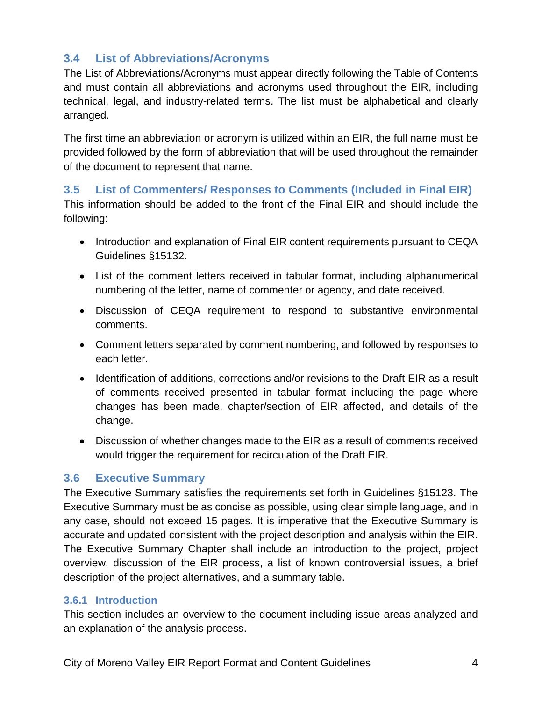## **3.4 List of Abbreviations/Acronyms**

The List of Abbreviations/Acronyms must appear directly following the Table of Contents and must contain all abbreviations and acronyms used throughout the EIR, including technical, legal, and industry-related terms. The list must be alphabetical and clearly arranged.

The first time an abbreviation or acronym is utilized within an EIR, the full name must be provided followed by the form of abbreviation that will be used throughout the remainder of the document to represent that name.

#### **3.5 List of Commenters/ Responses to Comments (Included in Final EIR)**

This information should be added to the front of the Final EIR and should include the following:

- Introduction and explanation of Final EIR content requirements pursuant to CEQA Guidelines §15132.
- List of the comment letters received in tabular format, including alphanumerical numbering of the letter, name of commenter or agency, and date received.
- Discussion of CEQA requirement to respond to substantive environmental comments.
- Comment letters separated by comment numbering, and followed by responses to each letter.
- Identification of additions, corrections and/or revisions to the Draft EIR as a result of comments received presented in tabular format including the page where changes has been made, chapter/section of EIR affected, and details of the change.
- Discussion of whether changes made to the EIR as a result of comments received would trigger the requirement for recirculation of the Draft EIR.

## **3.6 Executive Summary**

The Executive Summary satisfies the requirements set forth in Guidelines §15123. The Executive Summary must be as concise as possible, using clear simple language, and in any case, should not exceed 15 pages. It is imperative that the Executive Summary is accurate and updated consistent with the project description and analysis within the EIR. The Executive Summary Chapter shall include an introduction to the project, project overview, discussion of the EIR process, a list of known controversial issues, a brief description of the project alternatives, and a summary table.

#### **3.6.1 Introduction**

This section includes an overview to the document including issue areas analyzed and an explanation of the analysis process.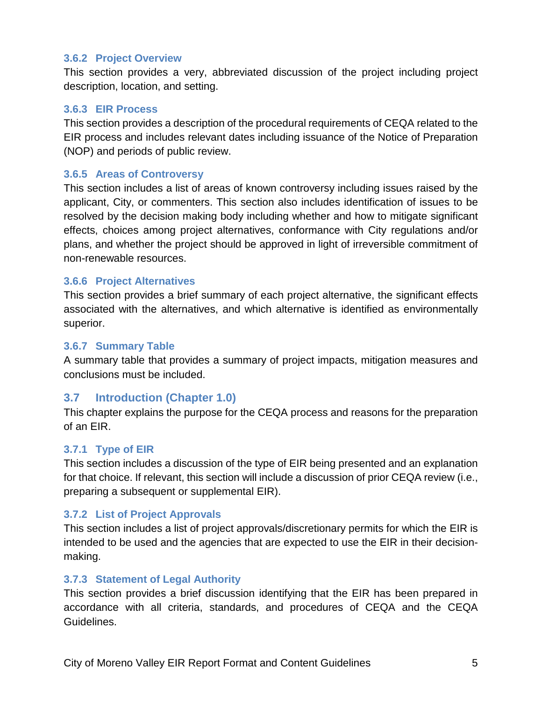#### **3.6.2 Project Overview**

This section provides a very, abbreviated discussion of the project including project description, location, and setting.

#### **3.6.3 EIR Process**

This section provides a description of the procedural requirements of CEQA related to the EIR process and includes relevant dates including issuance of the Notice of Preparation (NOP) and periods of public review.

#### **3.6.5 Areas of Controversy**

This section includes a list of areas of known controversy including issues raised by the applicant, City, or commenters. This section also includes identification of issues to be resolved by the decision making body including whether and how to mitigate significant effects, choices among project alternatives, conformance with City regulations and/or plans, and whether the project should be approved in light of irreversible commitment of non-renewable resources.

#### **3.6.6 Project Alternatives**

This section provides a brief summary of each project alternative, the significant effects associated with the alternatives, and which alternative is identified as environmentally superior.

#### **3.6.7 Summary Table**

A summary table that provides a summary of project impacts, mitigation measures and conclusions must be included.

#### **3.7 Introduction (Chapter 1.0)**

This chapter explains the purpose for the CEQA process and reasons for the preparation of an EIR.

#### **3.7.1 Type of EIR**

This section includes a discussion of the type of EIR being presented and an explanation for that choice. If relevant, this section will include a discussion of prior CEQA review (i.e., preparing a subsequent or supplemental EIR).

#### **3.7.2 List of Project Approvals**

This section includes a list of project approvals/discretionary permits for which the EIR is intended to be used and the agencies that are expected to use the EIR in their decisionmaking.

#### **3.7.3 Statement of Legal Authority**

This section provides a brief discussion identifying that the EIR has been prepared in accordance with all criteria, standards, and procedures of CEQA and the CEQA Guidelines.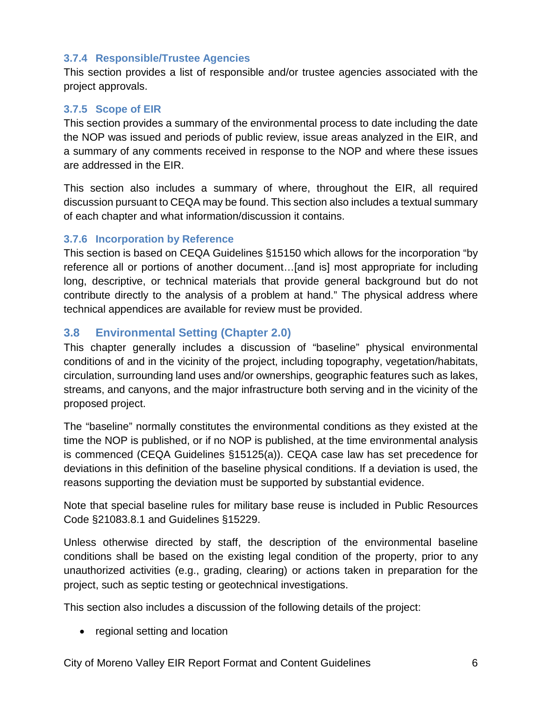#### **3.7.4 Responsible/Trustee Agencies**

This section provides a list of responsible and/or trustee agencies associated with the project approvals.

#### **3.7.5 Scope of EIR**

This section provides a summary of the environmental process to date including the date the NOP was issued and periods of public review, issue areas analyzed in the EIR, and a summary of any comments received in response to the NOP and where these issues are addressed in the EIR.

This section also includes a summary of where, throughout the EIR, all required discussion pursuant to CEQA may be found. This section also includes a textual summary of each chapter and what information/discussion it contains.

#### **3.7.6 Incorporation by Reference**

This section is based on CEQA Guidelines §15150 which allows for the incorporation "by reference all or portions of another document…[and is] most appropriate for including long, descriptive, or technical materials that provide general background but do not contribute directly to the analysis of a problem at hand." The physical address where technical appendices are available for review must be provided.

## **3.8 Environmental Setting (Chapter 2.0)**

This chapter generally includes a discussion of "baseline" physical environmental conditions of and in the vicinity of the project, including topography, vegetation/habitats, circulation, surrounding land uses and/or ownerships, geographic features such as lakes, streams, and canyons, and the major infrastructure both serving and in the vicinity of the proposed project.

The "baseline" normally constitutes the environmental conditions as they existed at the time the NOP is published, or if no NOP is published, at the time environmental analysis is commenced (CEQA Guidelines §15125(a)). CEQA case law has set precedence for deviations in this definition of the baseline physical conditions. If a deviation is used, the reasons supporting the deviation must be supported by substantial evidence.

Note that special baseline rules for military base reuse is included in Public Resources Code §21083.8.1 and Guidelines §15229.

Unless otherwise directed by staff, the description of the environmental baseline conditions shall be based on the existing legal condition of the property, prior to any unauthorized activities (e.g., grading, clearing) or actions taken in preparation for the project, such as septic testing or geotechnical investigations.

This section also includes a discussion of the following details of the project:

• regional setting and location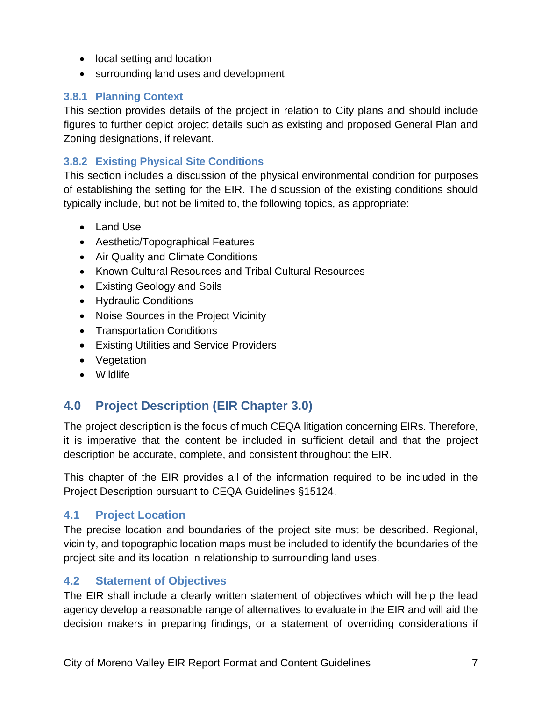- local setting and location
- surrounding land uses and development

#### **3.8.1 Planning Context**

This section provides details of the project in relation to City plans and should include figures to further depict project details such as existing and proposed General Plan and Zoning designations, if relevant.

#### **3.8.2 Existing Physical Site Conditions**

This section includes a discussion of the physical environmental condition for purposes of establishing the setting for the EIR. The discussion of the existing conditions should typically include, but not be limited to, the following topics, as appropriate:

- Land Use
- Aesthetic/Topographical Features
- Air Quality and Climate Conditions
- Known Cultural Resources and Tribal Cultural Resources
- Existing Geology and Soils
- Hydraulic Conditions
- Noise Sources in the Project Vicinity
- Transportation Conditions
- Existing Utilities and Service Providers
- Vegetation
- Wildlife

# **4.0 Project Description (EIR Chapter 3.0)**

The project description is the focus of much CEQA litigation concerning EIRs. Therefore, it is imperative that the content be included in sufficient detail and that the project description be accurate, complete, and consistent throughout the EIR.

This chapter of the EIR provides all of the information required to be included in the Project Description pursuant to CEQA Guidelines §15124.

## **4.1 Project Location**

The precise location and boundaries of the project site must be described. Regional, vicinity, and topographic location maps must be included to identify the boundaries of the project site and its location in relationship to surrounding land uses.

## **4.2 Statement of Objectives**

The EIR shall include a clearly written statement of objectives which will help the lead agency develop a reasonable range of alternatives to evaluate in the EIR and will aid the decision makers in preparing findings, or a statement of overriding considerations if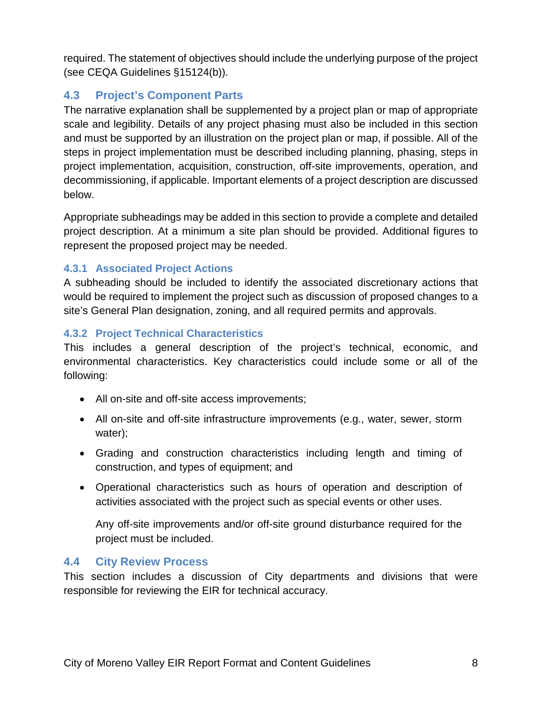required. The statement of objectives should include the underlying purpose of the project (see CEQA Guidelines §15124(b)).

# **4.3 Project's Component Parts**

The narrative explanation shall be supplemented by a project plan or map of appropriate scale and legibility. Details of any project phasing must also be included in this section and must be supported by an illustration on the project plan or map, if possible. All of the steps in project implementation must be described including planning, phasing, steps in project implementation, acquisition, construction, off-site improvements, operation, and decommissioning, if applicable. Important elements of a project description are discussed below.

Appropriate subheadings may be added in this section to provide a complete and detailed project description. At a minimum a site plan should be provided. Additional figures to represent the proposed project may be needed.

#### **4.3.1 Associated Project Actions**

A subheading should be included to identify the associated discretionary actions that would be required to implement the project such as discussion of proposed changes to a site's General Plan designation, zoning, and all required permits and approvals.

## **4.3.2 Project Technical Characteristics**

This includes a general description of the project's technical, economic, and environmental characteristics. Key characteristics could include some or all of the following:

- All on-site and off-site access improvements;
- All on-site and off-site infrastructure improvements (e.g., water, sewer, storm water);
- Grading and construction characteristics including length and timing of construction, and types of equipment; and
- Operational characteristics such as hours of operation and description of activities associated with the project such as special events or other uses.

Any off-site improvements and/or off-site ground disturbance required for the project must be included.

## **4.4 City Review Process**

This section includes a discussion of City departments and divisions that were responsible for reviewing the EIR for technical accuracy.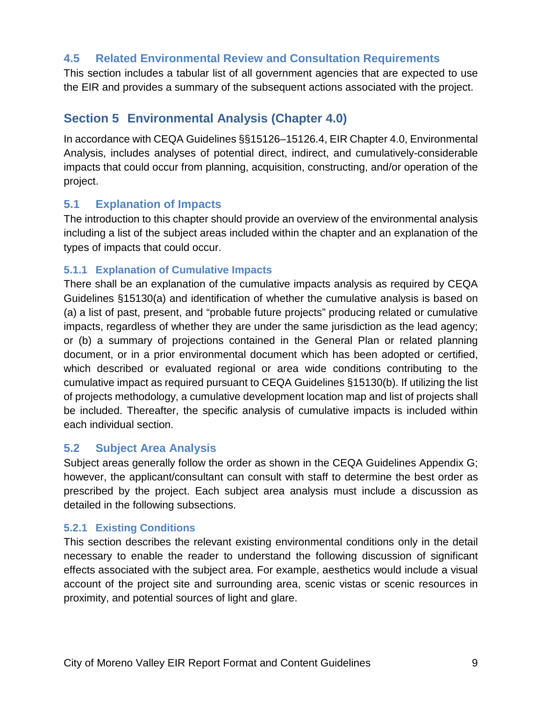## **4.5 Related Environmental Review and Consultation Requirements**

This section includes a tabular list of all government agencies that are expected to use the EIR and provides a summary of the subsequent actions associated with the project.

# **Section 5 Environmental Analysis (Chapter 4.0)**

In accordance with CEQA Guidelines §§15126–15126.4, EIR Chapter 4.0, Environmental Analysis, includes analyses of potential direct, indirect, and cumulatively-considerable impacts that could occur from planning, acquisition, constructing, and/or operation of the project.

#### **5.1 Explanation of Impacts**

The introduction to this chapter should provide an overview of the environmental analysis including a list of the subject areas included within the chapter and an explanation of the types of impacts that could occur.

#### **5.1.1 Explanation of Cumulative Impacts**

There shall be an explanation of the cumulative impacts analysis as required by CEQA Guidelines §15130(a) and identification of whether the cumulative analysis is based on (a) a list of past, present, and "probable future projects" producing related or cumulative impacts, regardless of whether they are under the same jurisdiction as the lead agency; or (b) a summary of projections contained in the General Plan or related planning document, or in a prior environmental document which has been adopted or certified, which described or evaluated regional or area wide conditions contributing to the cumulative impact as required pursuant to CEQA Guidelines §15130(b). If utilizing the list of projects methodology, a cumulative development location map and list of projects shall be included. Thereafter, the specific analysis of cumulative impacts is included within each individual section.

## **5.2 Subject Area Analysis**

Subject areas generally follow the order as shown in the CEQA Guidelines Appendix G; however, the applicant/consultant can consult with staff to determine the best order as prescribed by the project. Each subject area analysis must include a discussion as detailed in the following subsections.

#### **5.2.1 Existing Conditions**

This section describes the relevant existing environmental conditions only in the detail necessary to enable the reader to understand the following discussion of significant effects associated with the subject area. For example, aesthetics would include a visual account of the project site and surrounding area, scenic vistas or scenic resources in proximity, and potential sources of light and glare.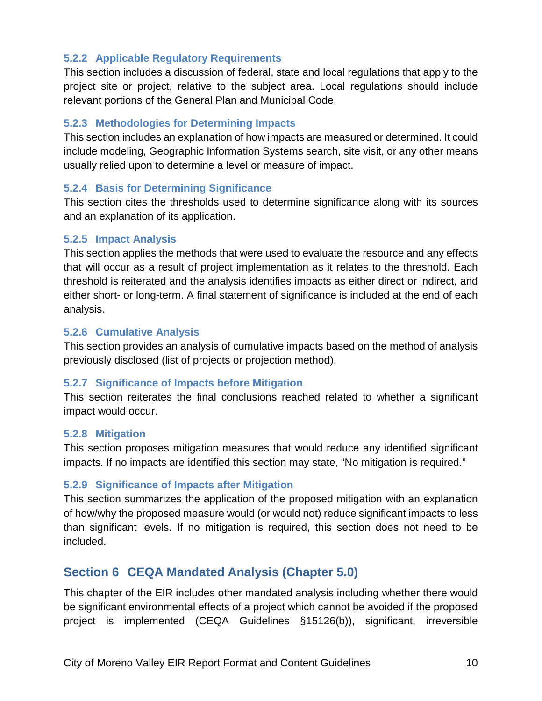#### **5.2.2 Applicable Regulatory Requirements**

This section includes a discussion of federal, state and local regulations that apply to the project site or project, relative to the subject area. Local regulations should include relevant portions of the General Plan and Municipal Code.

#### **5.2.3 Methodologies for Determining Impacts**

This section includes an explanation of how impacts are measured or determined. It could include modeling, Geographic Information Systems search, site visit, or any other means usually relied upon to determine a level or measure of impact.

#### **5.2.4 Basis for Determining Significance**

This section cites the thresholds used to determine significance along with its sources and an explanation of its application.

#### **5.2.5 Impact Analysis**

This section applies the methods that were used to evaluate the resource and any effects that will occur as a result of project implementation as it relates to the threshold. Each threshold is reiterated and the analysis identifies impacts as either direct or indirect, and either short- or long-term. A final statement of significance is included at the end of each analysis.

#### **5.2.6 Cumulative Analysis**

This section provides an analysis of cumulative impacts based on the method of analysis previously disclosed (list of projects or projection method).

#### **5.2.7 Significance of Impacts before Mitigation**

This section reiterates the final conclusions reached related to whether a significant impact would occur.

#### **5.2.8 Mitigation**

This section proposes mitigation measures that would reduce any identified significant impacts. If no impacts are identified this section may state, "No mitigation is required."

#### **5.2.9 Significance of Impacts after Mitigation**

This section summarizes the application of the proposed mitigation with an explanation of how/why the proposed measure would (or would not) reduce significant impacts to less than significant levels. If no mitigation is required, this section does not need to be included.

# **Section 6 CEQA Mandated Analysis (Chapter 5.0)**

This chapter of the EIR includes other mandated analysis including whether there would be significant environmental effects of a project which cannot be avoided if the proposed project is implemented (CEQA Guidelines §15126(b)), significant, irreversible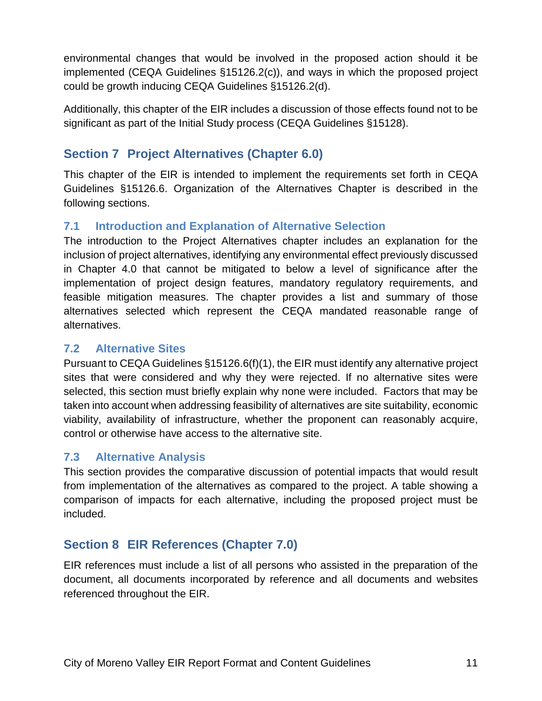environmental changes that would be involved in the proposed action should it be implemented (CEQA Guidelines §15126.2(c)), and ways in which the proposed project could be growth inducing CEQA Guidelines §15126.2(d).

Additionally, this chapter of the EIR includes a discussion of those effects found not to be significant as part of the Initial Study process (CEQA Guidelines §15128).

# **Section 7 Project Alternatives (Chapter 6.0)**

This chapter of the EIR is intended to implement the requirements set forth in CEQA Guidelines §15126.6. Organization of the Alternatives Chapter is described in the following sections.

## **7.1 Introduction and Explanation of Alternative Selection**

The introduction to the Project Alternatives chapter includes an explanation for the inclusion of project alternatives, identifying any environmental effect previously discussed in Chapter 4.0 that cannot be mitigated to below a level of significance after the implementation of project design features, mandatory regulatory requirements, and feasible mitigation measures. The chapter provides a list and summary of those alternatives selected which represent the CEQA mandated reasonable range of alternatives.

#### **7.2 Alternative Sites**

Pursuant to CEQA Guidelines §15126.6(f)(1), the EIR must identify any alternative project sites that were considered and why they were rejected. If no alternative sites were selected, this section must briefly explain why none were included. Factors that may be taken into account when addressing feasibility of alternatives are site suitability, economic viability, availability of infrastructure, whether the proponent can reasonably acquire, control or otherwise have access to the alternative site.

## **7.3 Alternative Analysis**

This section provides the comparative discussion of potential impacts that would result from implementation of the alternatives as compared to the project. A table showing a comparison of impacts for each alternative, including the proposed project must be included.

# **Section 8 EIR References (Chapter 7.0)**

EIR references must include a list of all persons who assisted in the preparation of the document, all documents incorporated by reference and all documents and websites referenced throughout the EIR.